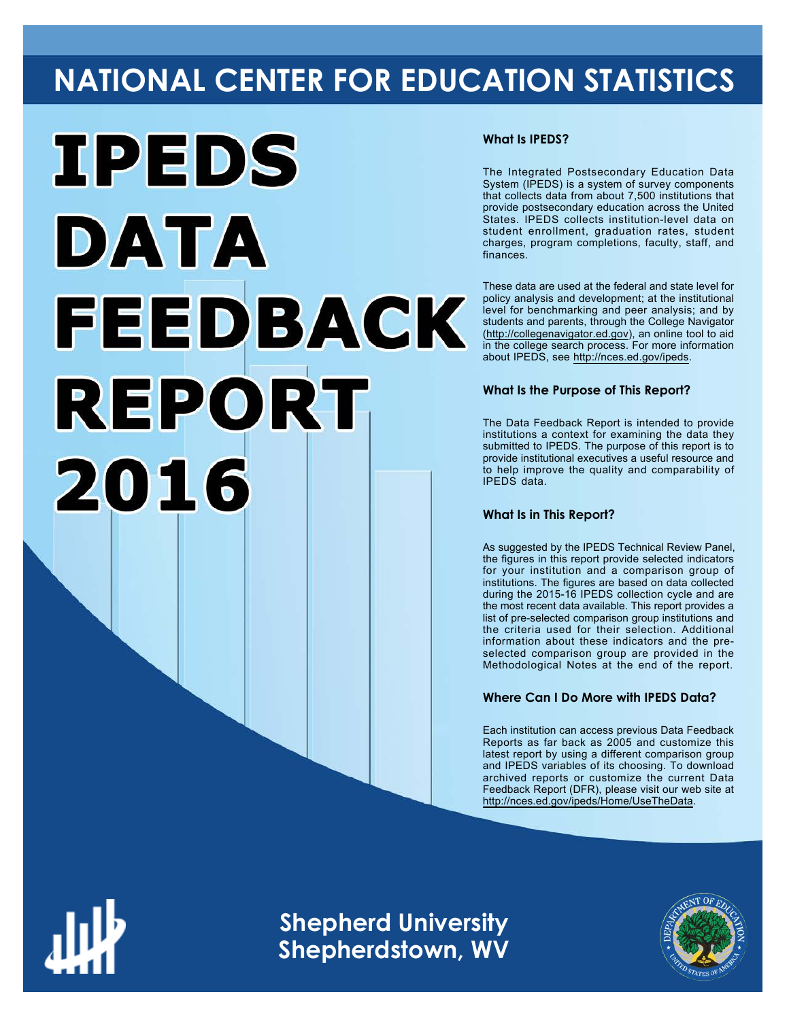# **NATIONAL CENTER FOR EDUCATION STATISTICS**



# **What Is IPEDS?**

The Integrated Postsecondary Education Data System (IPEDS) is a system of survey components that collects data from about 7,500 institutions that provide postsecondary education across the United States. IPEDS collects institution-level data on student enrollment, graduation rates, student charges, program completions, faculty, staff, and finances.

These data are used at the federal and state level for policy analysis and development; at the institutional level for benchmarking and peer analysis; and by students and parents, through the College Navigator ([http://collegenavigator.ed.gov\)](http://collegenavigator.ed.gov), an online tool to aid in the college search process. For more information about IPEDS, see [http://nces.ed.gov/ipeds.](http://nces.ed.gov/ipeds)

# **What Is the Purpose of This Report?**

The Data Feedback Report is intended to provide institutions a context for examining the data they submitted to IPEDS. The purpose of this report is to provide institutional executives a useful resource and to help improve the quality and comparability of IPEDS data.

# **What Is in This Report?**

As suggested by the IPEDS Technical Review Panel, the figures in this report provide selected indicators for your institution and a comparison group of institutions. The figures are based on data collected during the 2015-16 IPEDS collection cycle and are the most recent data available. This report provides a list of pre-selected comparison group institutions and the criteria used for their selection. Additional information about these indicators and the preselected comparison group are provided in the Methodological Notes at the end of the report.

# **Where Can I Do More with IPEDS Data?**

Each institution can access previous Data Feedback Reports as far back as 2005 and customize this latest report by using a different comparison group and IPEDS variables of its choosing. To download archived reports or customize the current Data Feedback Report (DFR), please visit our web site at [http://nces.ed.gov/ipeds/Home/UseTheData.](http://nces.ed.gov/ipeds/Home/UseTheData)



**Shepherd University Shepherdstown, WV**

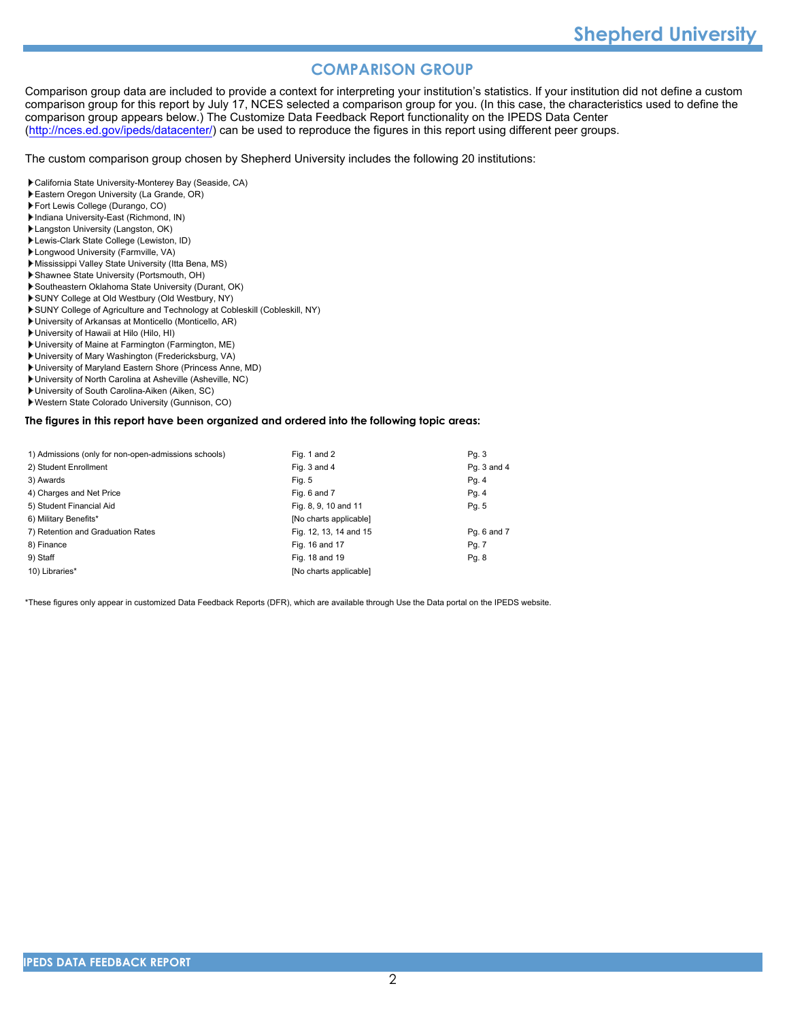# **COMPARISON GROUP**

Comparison group data are included to provide a context for interpreting your institution's statistics. If your institution did not define a custom comparison group for this report by July 17, NCES selected a comparison group for you. (In this case, the characteristics used to define the comparison group appears below.) The Customize Data Feedback Report functionality on the IPEDS Data Center [\(http://nces.ed.gov/ipeds/datacenter/\)](http://nces.ed.gov/ipeds/datacenter/) can be used to reproduce the figures in this report using different peer groups.

The custom comparison group chosen by Shepherd University includes the following 20 institutions:

- California State University-Monterey Bay (Seaside, CA)
- Eastern Oregon University (La Grande, OR)
- Fort Lewis College (Durango, CO)
- Indiana University-East (Richmond, IN)
- Langston University (Langston, OK)
- Lewis-Clark State College (Lewiston, ID)
- Longwood University (Farmville, VA)
- Mississippi Valley State University (Itta Bena, MS)
- Shawnee State University (Portsmouth, OH)
- Southeastern Oklahoma State University (Durant, OK)
- SUNY College at Old Westbury (Old Westbury, NY)
- SUNY College of Agriculture and Technology at Cobleskill (Cobleskill, NY)
- University of Arkansas at Monticello (Monticello, AR)
- University of Hawaii at Hilo (Hilo, HI)
- University of Maine at Farmington (Farmington, ME)
- University of Mary Washington (Fredericksburg, VA)
- University of Maryland Eastern Shore (Princess Anne, MD)
- University of North Carolina at Asheville (Asheville, NC)
- University of South Carolina-Aiken (Aiken, SC)
- Western State Colorado University (Gunnison, CO)

#### **The figures in this report have been organized and ordered into the following topic areas:**

| 1) Admissions (only for non-open-admissions schools) | Fig. 1 and 2           | Pg. 3       |
|------------------------------------------------------|------------------------|-------------|
| 2) Student Enrollment                                | Fig. 3 and 4           | Pq. 3 and 4 |
| 3) Awards                                            | Fig. 5                 | Pg. 4       |
| 4) Charges and Net Price                             | Fig. 6 and 7           | Pg. 4       |
| 5) Student Financial Aid                             | Fig. 8, 9, 10 and 11   | Pg. 5       |
| 6) Military Benefits*                                | [No charts applicable] |             |
| 7) Retention and Graduation Rates                    | Fig. 12, 13, 14 and 15 | Pg. 6 and 7 |
| 8) Finance                                           | Fig. 16 and 17         | Pg. 7       |
| 9) Staff                                             | Fig. 18 and 19         | Pg. 8       |
| 10) Libraries*                                       | [No charts applicable] |             |

\*These figures only appear in customized Data Feedback Reports (DFR), which are available through Use the Data portal on the IPEDS website.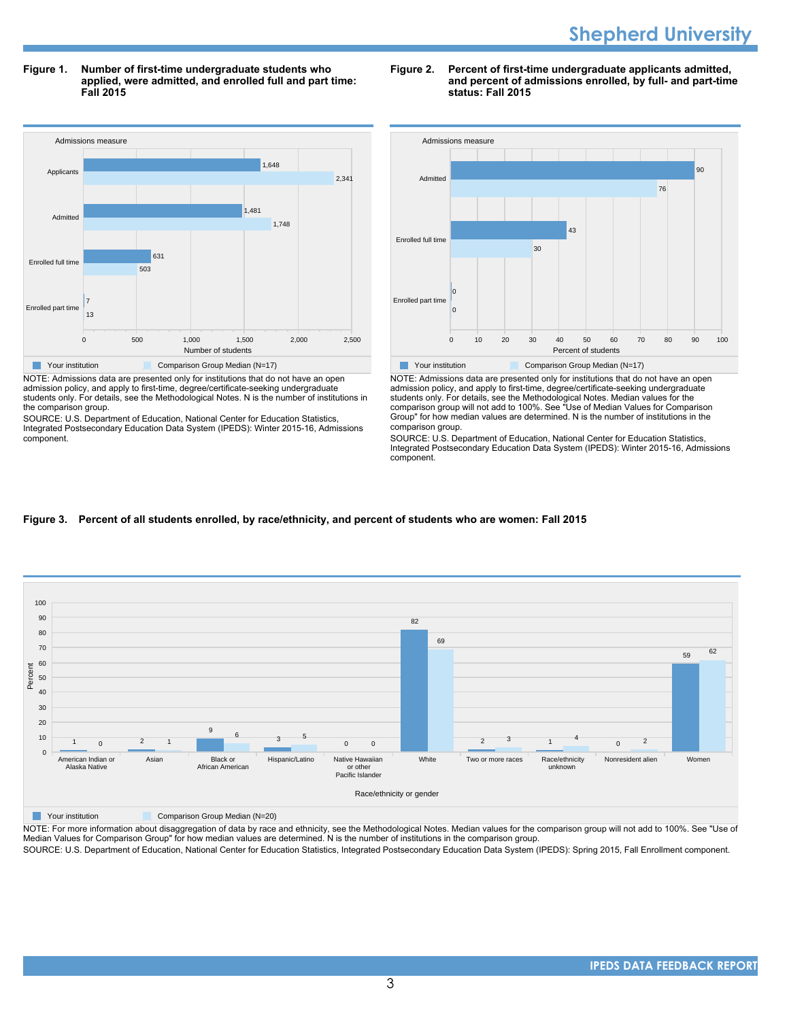**Figure 1. Number of first-time undergraduate students who applied, were admitted, and enrolled full and part time: Fall 2015**



NOTE: Admissions data are presented only for institutions that do not have an open admission policy, and apply to first-time, degree/certificate-seeking undergraduate students only. For details, see the Methodological Notes. N is the number of institutions in the comparison group.

SOURCE: U.S. Department of Education, National Center for Education Statistics, Integrated Postsecondary Education Data System (IPEDS): Winter 2015-16, Admissions component.





NOTE: Admissions data are presented only for institutions that do not have an open admission policy, and apply to first-time, degree/certificate-seeking undergraduate students only. For details, see the Methodological Notes. Median values for the comparison group will not add to 100%. See "Use of Median Values for Comparison Group" for how median values are determined. N is the number of institutions in the comparison group.

SOURCE: U.S. Department of Education, National Center for Education Statistics, Integrated Postsecondary Education Data System (IPEDS): Winter 2015-16, Admissions component.

# **Figure 3. Percent of all students enrolled, by race/ethnicity, and percent of students who are women: Fall 2015**



**The Your institution Comparison Group Median (N=20)** 

NOTE: For more information about disaggregation of data by race and ethnicity, see the Methodological Notes. Median values for the comparison group will not add to 100%. See "Use of Median Values for Comparison Group" for how median values are determined. N is the number of institutions in the comparison group.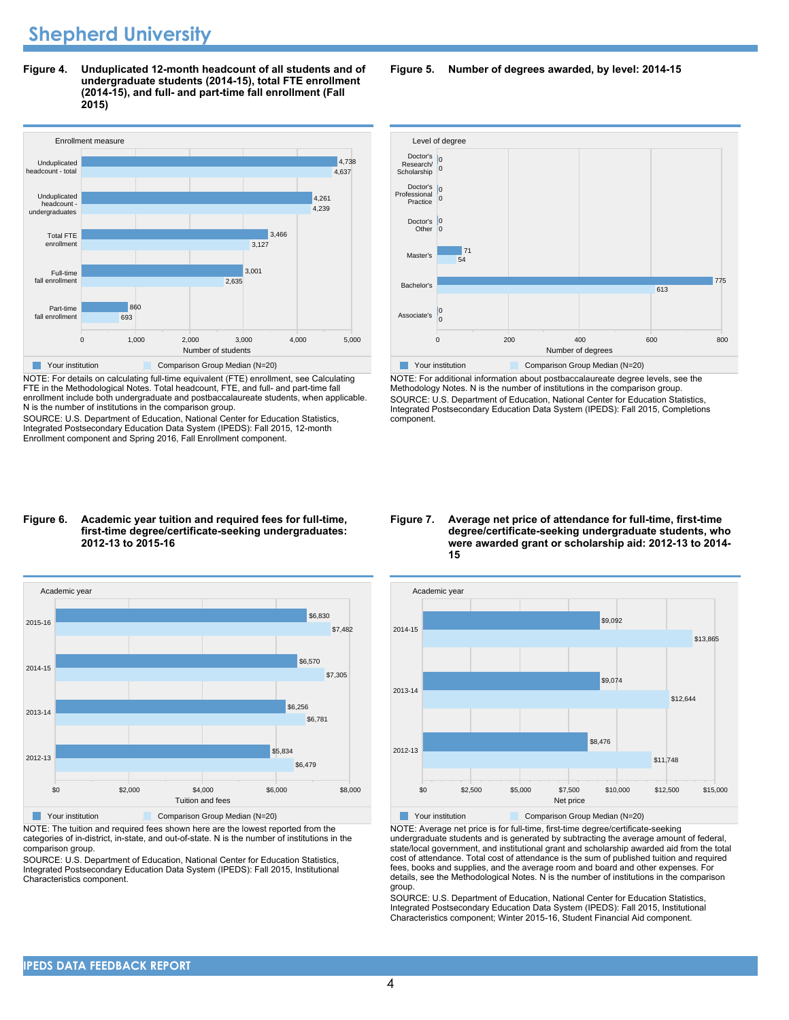**Figure 4. Unduplicated 12-month headcount of all students and of undergraduate students (2014-15), total FTE enrollment (2014-15), and full- and part-time fall enrollment (Fall 2015)**



NOTE: For details on calculating full-time equivalent (FTE) enrollment, see Calculating FTE in the Methodological Notes. Total headcount, FTE, and full- and part-time fall enrollment include both undergraduate and postbaccalaureate students, when applicable. N is the number of institutions in the comparison group.

SOURCE: U.S. Department of Education, National Center for Education Statistics, Integrated Postsecondary Education Data System (IPEDS): Fall 2015, 12-month Enrollment component and Spring 2016, Fall Enrollment component.

#### **Figure 6. Academic year tuition and required fees for full-time, first-time degree/certificate-seeking undergraduates: 2012-13 to 2015-16**



NOTE: The tuition and required fees shown here are the lowest reported from the categories of in-district, in-state, and out-of-state. N is the number of institutions in the comparison group.

SOURCE: U.S. Department of Education, National Center for Education Statistics, Integrated Postsecondary Education Data System (IPEDS): Fall 2015, Institutional Characteristics component.

**Figure 5. Number of degrees awarded, by level: 2014-15**



NOTE: For additional information about postbaccalaureate degree levels, see the Methodology Notes. N is the number of institutions in the comparison group. SOURCE: U.S. Department of Education, National Center for Education Statistics, Integrated Postsecondary Education Data System (IPEDS): Fall 2015, Completions component.

**Figure 7. Average net price of attendance for full-time, first-time degree/certificate-seeking undergraduate students, who were awarded grant or scholarship aid: 2012-13 to 2014- 15**

![](_page_3_Figure_13.jpeg)

NOTE: Average net price is for full-time, first-time degree/certificate-seeking undergraduate students and is generated by subtracting the average amount of federal, state/local government, and institutional grant and scholarship awarded aid from the total cost of attendance. Total cost of attendance is the sum of published tuition and required fees, books and supplies, and the average room and board and other expenses. For details, see the Methodological Notes. N is the number of institutions in the comparison group.

SOURCE: U.S. Department of Education, National Center for Education Statistics, Integrated Postsecondary Education Data System (IPEDS): Fall 2015, Institutional Characteristics component; Winter 2015-16, Student Financial Aid component.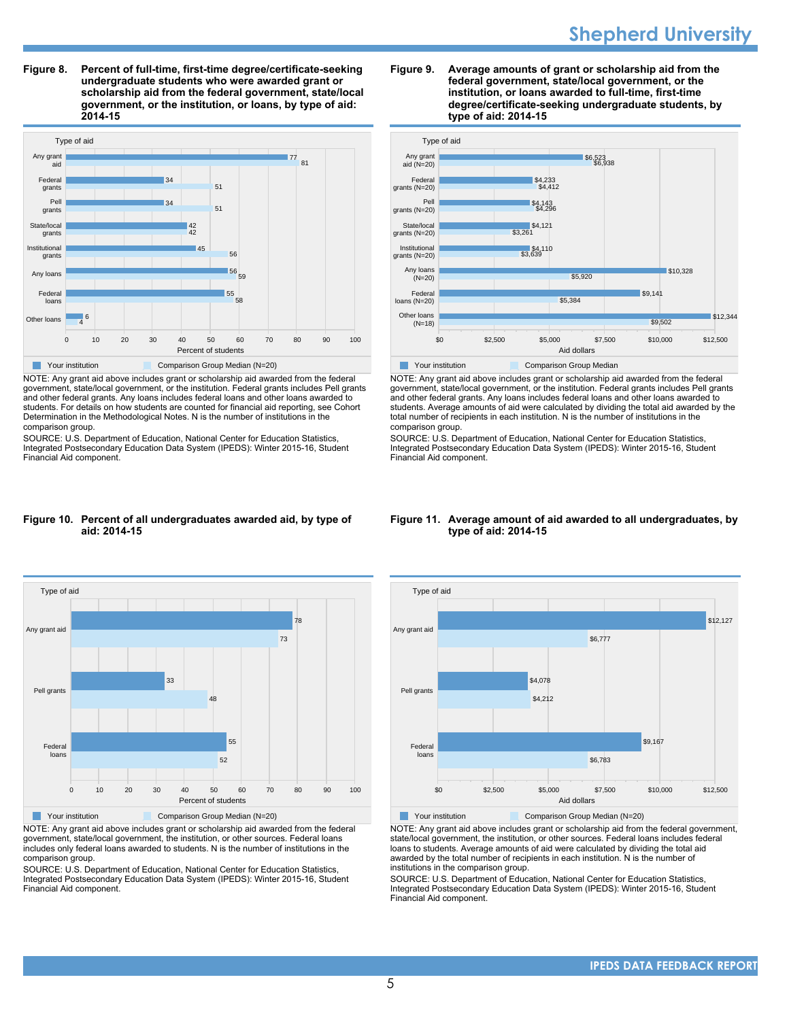# **Shepherd University**

**Figure 8. Percent of full-time, first-time degree/certificate-seeking undergraduate students who were awarded grant or scholarship aid from the federal government, state/local government, or the institution, or loans, by type of aid: 2014-15**

![](_page_4_Figure_2.jpeg)

NOTE: Any grant aid above includes grant or scholarship aid awarded from the federal government, state/local government, or the institution. Federal grants includes Pell grants and other federal grants. Any loans includes federal loans and other loans awarded to students. For details on how students are counted for financial aid reporting, see Cohort Determination in the Methodological Notes. N is the number of institutions in the comparison group.

SOURCE: U.S. Department of Education, National Center for Education Statistics, Integrated Postsecondary Education Data System (IPEDS): Winter 2015-16, Student Financial Aid component.

#### **Figure 9. Average amounts of grant or scholarship aid from the federal government, state/local government, or the institution, or loans awarded to full-time, first-time degree/certificate-seeking undergraduate students, by type of aid: 2014-15**

![](_page_4_Figure_6.jpeg)

NOTE: Any grant aid above includes grant or scholarship aid awarded from the federal government, state/local government, or the institution. Federal grants includes Pell grants and other federal grants. Any loans includes federal loans and other loans awarded to students. Average amounts of aid were calculated by dividing the total aid awarded by the total number of recipients in each institution. N is the number of institutions in the comparison group.

SOURCE: U.S. Department of Education, National Center for Education Statistics, Integrated Postsecondary Education Data System (IPEDS): Winter 2015-16, Student Financial Aid component.

#### **Figure 10. Percent of all undergraduates awarded aid, by type of aid: 2014-15**

![](_page_4_Figure_10.jpeg)

NOTE: Any grant aid above includes grant or scholarship aid awarded from the federal government, state/local government, the institution, or other sources. Federal loans includes only federal loans awarded to students. N is the number of institutions in the comparison group.

SOURCE: U.S. Department of Education, National Center for Education Statistics, Integrated Postsecondary Education Data System (IPEDS): Winter 2015-16, Student Financial Aid component.

#### **Figure 11. Average amount of aid awarded to all undergraduates, by type of aid: 2014-15**

![](_page_4_Figure_14.jpeg)

NOTE: Any grant aid above includes grant or scholarship aid from the federal government, state/local government, the institution, or other sources. Federal loans includes federal loans to students. Average amounts of aid were calculated by dividing the total aid awarded by the total number of recipients in each institution. N is the number of institutions in the comparison group.

SOURCE: U.S. Department of Education, National Center for Education Statistics, Integrated Postsecondary Education Data System (IPEDS): Winter 2015-16, Student Financial Aid component.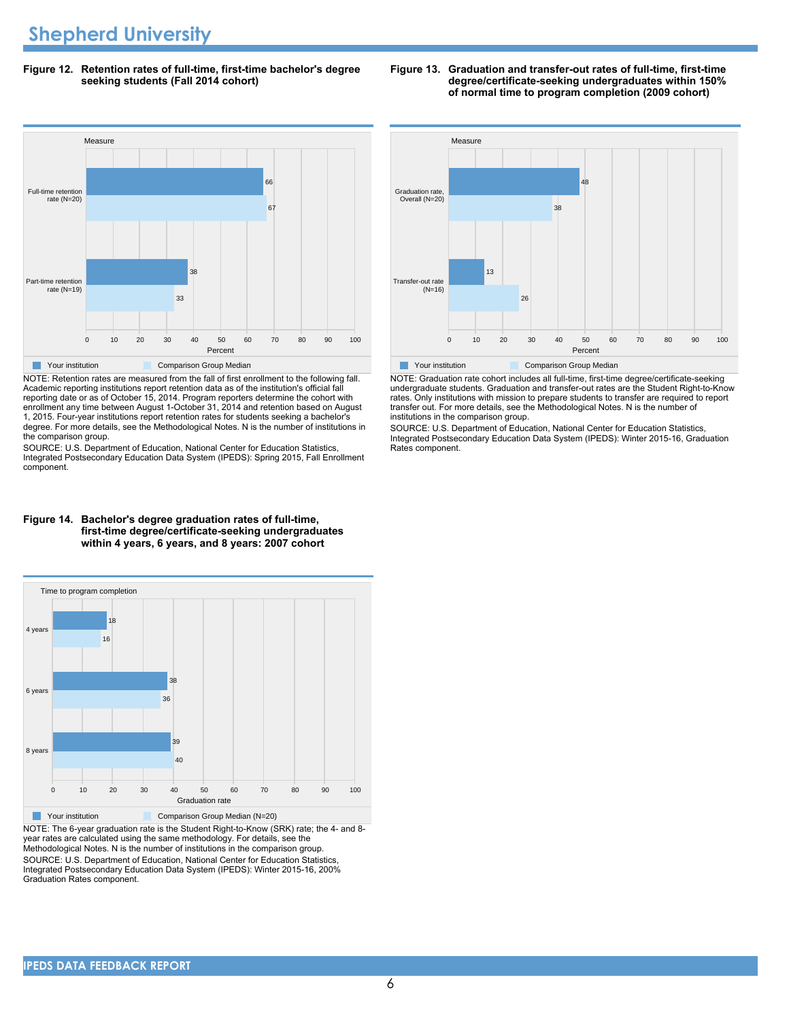**Figure 12. Retention rates of full-time, first-time bachelor's degree seeking students (Fall 2014 cohort)**

![](_page_5_Figure_2.jpeg)

NOTE: Retention rates are measured from the fall of first enrollment to the following fall. Academic reporting institutions report retention data as of the institution's official fall reporting date or as of October 15, 2014. Program reporters determine the cohort with enrollment any time between August 1-October 31, 2014 and retention based on August 1, 2015. Four-year institutions report retention rates for students seeking a bachelor's degree. For more details, see the Methodological Notes. N is the number of institutions in the comparison group.

SOURCE: U.S. Department of Education, National Center for Education Statistics, Integrated Postsecondary Education Data System (IPEDS): Spring 2015, Fall Enrollment component.

![](_page_5_Figure_5.jpeg)

 $M_{\rm c}$ 

Measure

Graduation rate, Overall (N=20)

transfer out. For more details, see the Methodological Notes. N is the number of institutions in the comparison group. SOURCE: U.S. Department of Education, National Center for Education Statistics,

Integrated Postsecondary Education Data System (IPEDS): Winter 2015-16, Graduation Rates component.

#### **Figure 14. Bachelor's degree graduation rates of full-time, first-time degree/certificate-seeking undergraduates within 4 years, 6 years, and 8 years: 2007 cohort**

![](_page_5_Figure_9.jpeg)

NOTE: The 6-year graduation rate is the Student Right-to-Know (SRK) rate; the 4- and 8 year rates are calculated using the same methodology. For details, see the Methodological Notes. N is the number of institutions in the comparison group. SOURCE: U.S. Department of Education, National Center for Education Statistics, Integrated Postsecondary Education Data System (IPEDS): Winter 2015-16, 200% Graduation Rates component.

#### **Figure 13. Graduation and transfer-out rates of full-time, first-time degree/certificate-seeking undergraduates within 150% of normal time to program completion (2009 cohort)**

38

48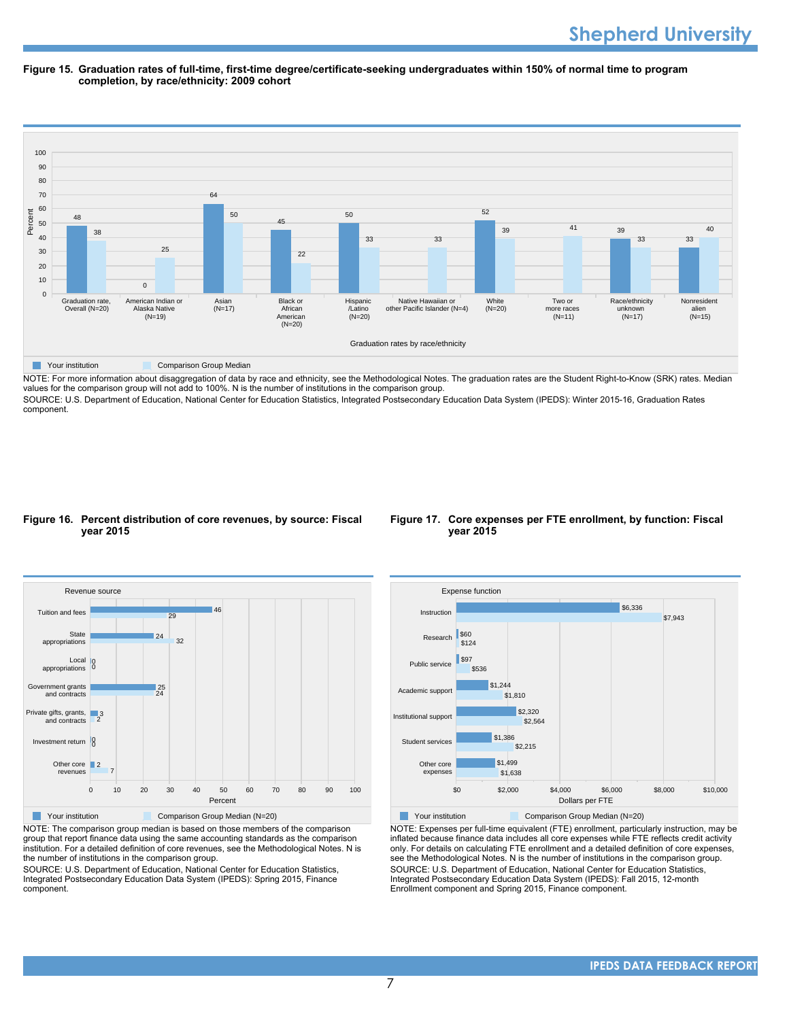#### **Figure 15. Graduation rates of full-time, first-time degree/certificate-seeking undergraduates within 150% of normal time to program completion, by race/ethnicity: 2009 cohort**

![](_page_6_Figure_2.jpeg)

NOTE: For more information about disaggregation of data by race and ethnicity, see the Methodological Notes. The graduation rates are the Student Right-to-Know (SRK) rates. Median values for the comparison group will not add to 100%. N is the number of institutions in the comparison group.

SOURCE: U.S. Department of Education, National Center for Education Statistics, Integrated Postsecondary Education Data System (IPEDS): Winter 2015-16, Graduation Rates component.

#### **Figure 16. Percent distribution of core revenues, by source: Fiscal year 2015**

![](_page_6_Figure_6.jpeg)

![](_page_6_Figure_7.jpeg)

NOTE: The comparison group median is based on those members of the comparison group that report finance data using the same accounting standards as the comparison institution. For a detailed definition of core revenues, see the Methodological Notes. N is the number of institutions in the comparison group.

SOURCE: U.S. Department of Education, National Center for Education Statistics, Integrated Postsecondary Education Data System (IPEDS): Spring 2015, Finance component.

![](_page_6_Figure_10.jpeg)

Your institution Comparison Group Median (N=20)

NOTE: Expenses per full-time equivalent (FTE) enrollment, particularly instruction, may be inflated because finance data includes all core expenses while FTE reflects credit activity only. For details on calculating FTE enrollment and a detailed definition of core expenses, see the Methodological Notes. N is the number of institutions in the comparison group. SOURCE: U.S. Department of Education, National Center for Education Statistics, Integrated Postsecondary Education Data System (IPEDS): Fall 2015, 12-month Enrollment component and Spring 2015, Finance component.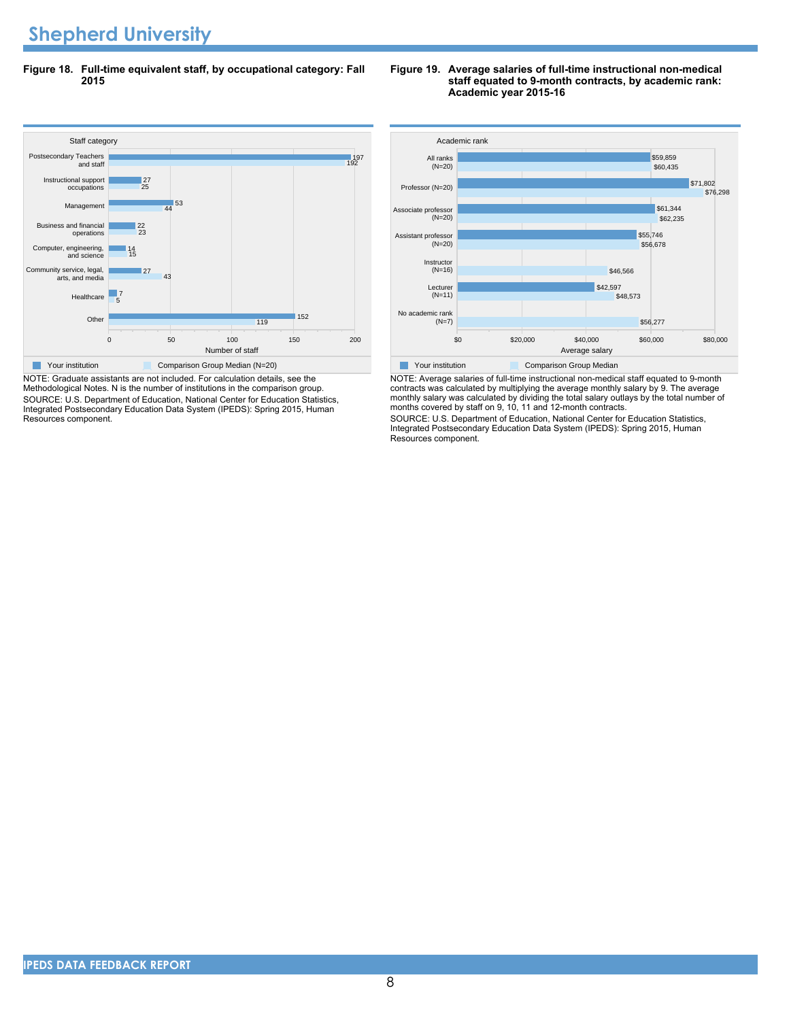# **Shepherd University**

**Figure 18. Full-time equivalent staff, by occupational category: Fall 2015**

![](_page_7_Figure_2.jpeg)

NOTE: Graduate assistants are not included. For calculation details, see the Methodological Notes. N is the number of institutions in the comparison group. SOURCE: U.S. Department of Education, National Center for Education Statistics, Integrated Postsecondary Education Data System (IPEDS): Spring 2015, Human Resources component.

#### **Figure 19. Average salaries of full-time instructional non-medical staff equated to 9-month contracts, by academic rank: Academic year 2015-16**

![](_page_7_Figure_5.jpeg)

NOTE: Average salaries of full-time instructional non-medical staff equated to 9-month contracts was calculated by multiplying the average monthly salary by 9. The average monthly salary was calculated by dividing the total salary outlays by the total number of months covered by staff on 9, 10, 11 and 12-month contracts.

SOURCE: U.S. Department of Education, National Center for Education Statistics, Integrated Postsecondary Education Data System (IPEDS): Spring 2015, Human Resources component.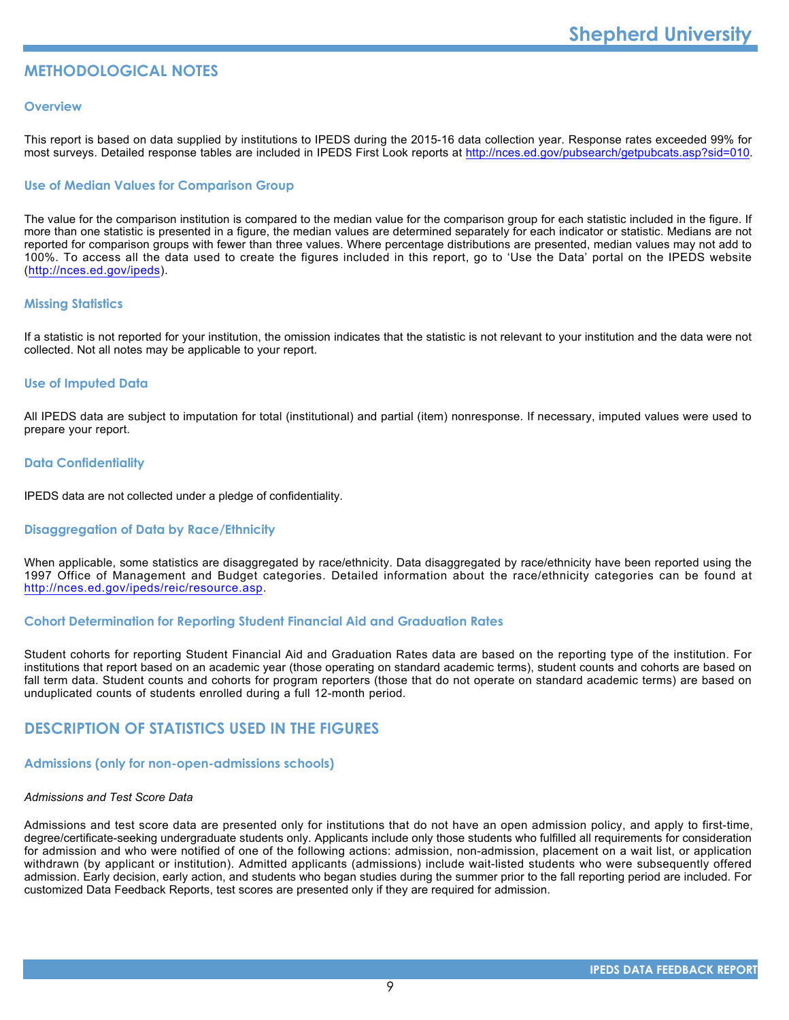# **METHODOLOGICAL NOTES**

#### **Overview**

This report is based on data supplied by institutions to IPEDS during the 2015-16 data collection year. Response rates exceeded 99% for most surveys. Detailed response tables are included in IPEDS First Look reports at [http://nces.ed.gov/pubsearch/getpubcats.asp?sid=010.](http://nces.ed.gov/pubsearch/getpubcats.asp?sid=010)

# **Use of Median Values for Comparison Group**

The value for the comparison institution is compared to the median value for the comparison group for each statistic included in the figure. If more than one statistic is presented in a figure, the median values are determined separately for each indicator or statistic. Medians are not reported for comparison groups with fewer than three values. Where percentage distributions are presented, median values may not add to 100%. To access all the data used to create the figures included in this report, go to 'Use the Data' portal on the IPEDS website (<http://nces.ed.gov/ipeds>).

# **Missing Statistics**

If a statistic is not reported for your institution, the omission indicates that the statistic is not relevant to your institution and the data were not collected. Not all notes may be applicable to your report.

#### **Use of Imputed Data**

All IPEDS data are subject to imputation for total (institutional) and partial (item) nonresponse. If necessary, imputed values were used to prepare your report.

#### **Data Confidentiality**

IPEDS data are not collected under a pledge of confidentiality.

#### **Disaggregation of Data by Race/Ethnicity**

When applicable, some statistics are disaggregated by race/ethnicity. Data disaggregated by race/ethnicity have been reported using the 1997 Office of Management and Budget categories. Detailed information about the race/ethnicity categories can be found at <http://nces.ed.gov/ipeds/reic/resource.asp>.

#### **Cohort Determination for Reporting Student Financial Aid and Graduation Rates**

Student cohorts for reporting Student Financial Aid and Graduation Rates data are based on the reporting type of the institution. For institutions that report based on an academic year (those operating on standard academic terms), student counts and cohorts are based on fall term data. Student counts and cohorts for program reporters (those that do not operate on standard academic terms) are based on unduplicated counts of students enrolled during a full 12-month period.

# **DESCRIPTION OF STATISTICS USED IN THE FIGURES**

#### **Admissions (only for non-open-admissions schools)**

#### *Admissions and Test Score Data*

Admissions and test score data are presented only for institutions that do not have an open admission policy, and apply to first-time, degree/certificate-seeking undergraduate students only. Applicants include only those students who fulfilled all requirements for consideration for admission and who were notified of one of the following actions: admission, non-admission, placement on a wait list, or application withdrawn (by applicant or institution). Admitted applicants (admissions) include wait-listed students who were subsequently offered admission. Early decision, early action, and students who began studies during the summer prior to the fall reporting period are included. For customized Data Feedback Reports, test scores are presented only if they are required for admission.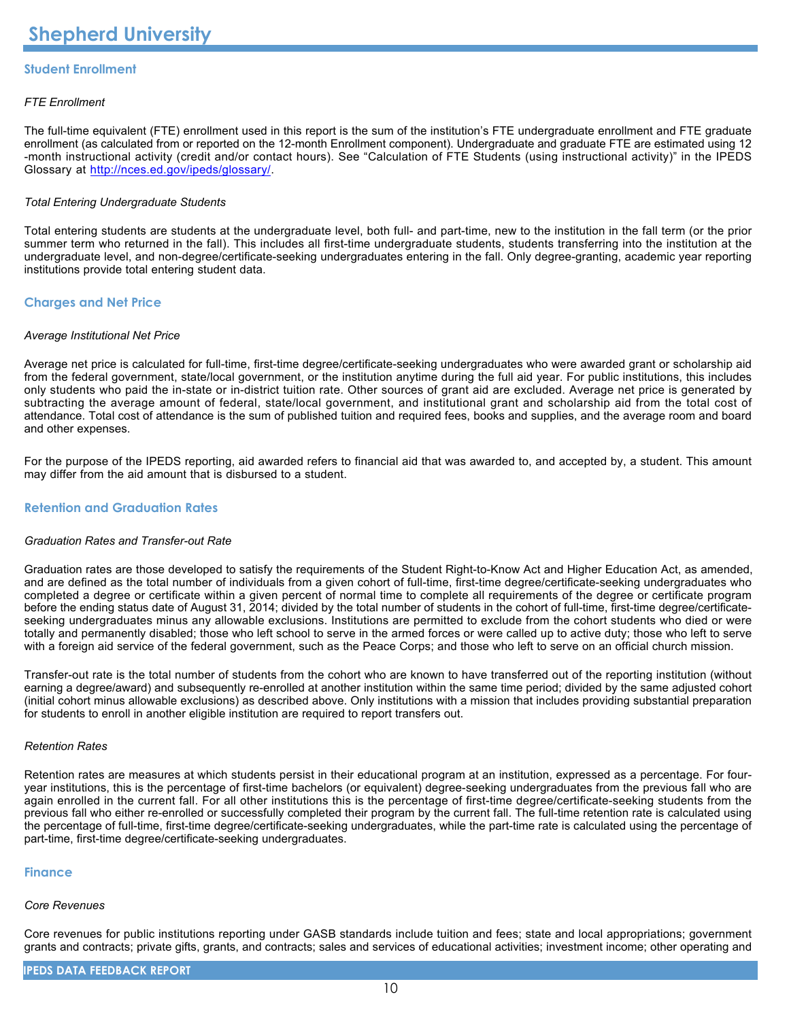# **Student Enrollment**

# *FTE Enrollment*

The full-time equivalent (FTE) enrollment used in this report is the sum of the institution's FTE undergraduate enrollment and FTE graduate enrollment (as calculated from or reported on the 12-month Enrollment component). Undergraduate and graduate FTE are estimated using 12 -month instructional activity (credit and/or contact hours). See "Calculation of FTE Students (using instructional activity)" in the IPEDS Glossary at <http://nces.ed.gov/ipeds/glossary/>.

# *Total Entering Undergraduate Students*

Total entering students are students at the undergraduate level, both full- and part-time, new to the institution in the fall term (or the prior summer term who returned in the fall). This includes all first-time undergraduate students, students transferring into the institution at the undergraduate level, and non-degree/certificate-seeking undergraduates entering in the fall. Only degree-granting, academic year reporting institutions provide total entering student data.

# **Charges and Net Price**

#### *Average Institutional Net Price*

Average net price is calculated for full-time, first-time degree/certificate-seeking undergraduates who were awarded grant or scholarship aid from the federal government, state/local government, or the institution anytime during the full aid year. For public institutions, this includes only students who paid the in-state or in-district tuition rate. Other sources of grant aid are excluded. Average net price is generated by subtracting the average amount of federal, state/local government, and institutional grant and scholarship aid from the total cost of attendance. Total cost of attendance is the sum of published tuition and required fees, books and supplies, and the average room and board and other expenses.

For the purpose of the IPEDS reporting, aid awarded refers to financial aid that was awarded to, and accepted by, a student. This amount may differ from the aid amount that is disbursed to a student.

# **Retention and Graduation Rates**

#### *Graduation Rates and Transfer-out Rate*

Graduation rates are those developed to satisfy the requirements of the Student Right-to-Know Act and Higher Education Act, as amended, and are defined as the total number of individuals from a given cohort of full-time, first-time degree/certificate-seeking undergraduates who completed a degree or certificate within a given percent of normal time to complete all requirements of the degree or certificate program before the ending status date of August 31, 2014; divided by the total number of students in the cohort of full-time, first-time degree/certificateseeking undergraduates minus any allowable exclusions. Institutions are permitted to exclude from the cohort students who died or were totally and permanently disabled; those who left school to serve in the armed forces or were called up to active duty; those who left to serve with a foreign aid service of the federal government, such as the Peace Corps; and those who left to serve on an official church mission.

Transfer-out rate is the total number of students from the cohort who are known to have transferred out of the reporting institution (without earning a degree/award) and subsequently re-enrolled at another institution within the same time period; divided by the same adjusted cohort (initial cohort minus allowable exclusions) as described above. Only institutions with a mission that includes providing substantial preparation for students to enroll in another eligible institution are required to report transfers out.

#### *Retention Rates*

Retention rates are measures at which students persist in their educational program at an institution, expressed as a percentage. For fouryear institutions, this is the percentage of first-time bachelors (or equivalent) degree-seeking undergraduates from the previous fall who are again enrolled in the current fall. For all other institutions this is the percentage of first-time degree/certificate-seeking students from the previous fall who either re-enrolled or successfully completed their program by the current fall. The full-time retention rate is calculated using the percentage of full-time, first-time degree/certificate-seeking undergraduates, while the part-time rate is calculated using the percentage of part-time, first-time degree/certificate-seeking undergraduates.

#### **Finance**

#### *Core Revenues*

Core revenues for public institutions reporting under GASB standards include tuition and fees; state and local appropriations; government grants and contracts; private gifts, grants, and contracts; sales and services of educational activities; investment income; other operating and